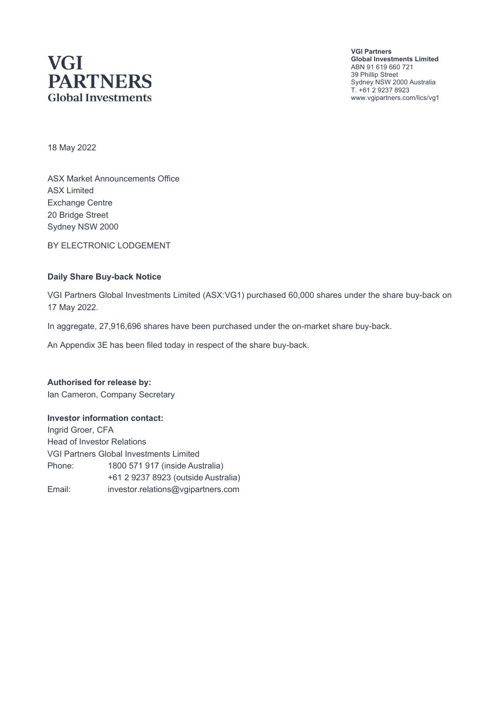# **VGI PARTNERS Global Investments**

**VGI Partners Global Investments Limited** ABN 91 619 660 721 39 Phillip Street Sydney NSW 2000 Australia T. +61 2 9237 8923 www.vgipartners.com/lics/vg1

18 May 2022

ASX Market Announcements Office ASX Limited Exchange Centre 20 Bridge Street Sydney NSW 2000

BY ELECTRONIC LODGEMENT

#### **Daily Share Buy-back Notice**

VGI Partners Global Investments Limited (ASX:VG1) purchased 60,000 shares under the share buy-back on 17 May 2022.

In aggregate, 27,916,696 shares have been purchased under the on-market share buy-back.

An Appendix 3E has been filed today in respect of the share buy-back.

**Authorised for release by:** Ian Cameron, Company Secretary

#### **Investor information contact:**

Ingrid Groer, CFA Head of Investor Relations VGI Partners Global Investments Limited Phone: 1800 571 917 (inside Australia) +61 2 9237 8923 (outside Australia) Email: investor.relations@vgipartners.com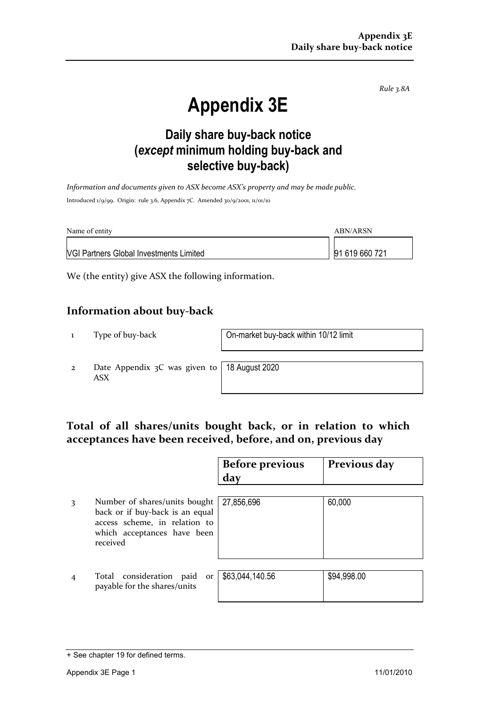*Rule 3.8A*

# **Appendix 3E**

## **Daily share buy-back notice (***except* **minimum holding buy-back and selective buy-back)**

*Information and documents given to ASX become ASX's property and may be made public.* Introduced 1/9/99. Origin: rule 3.6, Appendix 7C. Amended 30/9/2001, 11/01/10

| Name of entity                                 | ABN/ARSN       |  |
|------------------------------------------------|----------------|--|
| <b>NGI Partners Global Investments Limited</b> | 91 619 660 721 |  |

We (the entity) give ASX the following information.

#### **Information about buy-back**

1 Type of buy-back On-market buy-back within 10/12 limit

2 Date Appendix 3C was given to ASX

18 August 2020

### **Total of all shares/units bought back, or in relation to which acceptances have been received, before, and on, previous day**

|   |                                                                                                                                              | <b>Before previous</b><br>day | Previous day |
|---|----------------------------------------------------------------------------------------------------------------------------------------------|-------------------------------|--------------|
| 3 | Number of shares/units bought<br>back or if buy-back is an equal<br>access scheme, in relation to<br>which acceptances have been<br>received | 27,856,696                    | 60,000       |
|   | Total consideration paid<br>or<br>payable for the shares/units                                                                               | \$63,044,140.56               | \$94,998.00  |

<sup>+</sup> See chapter 19 for defined terms.